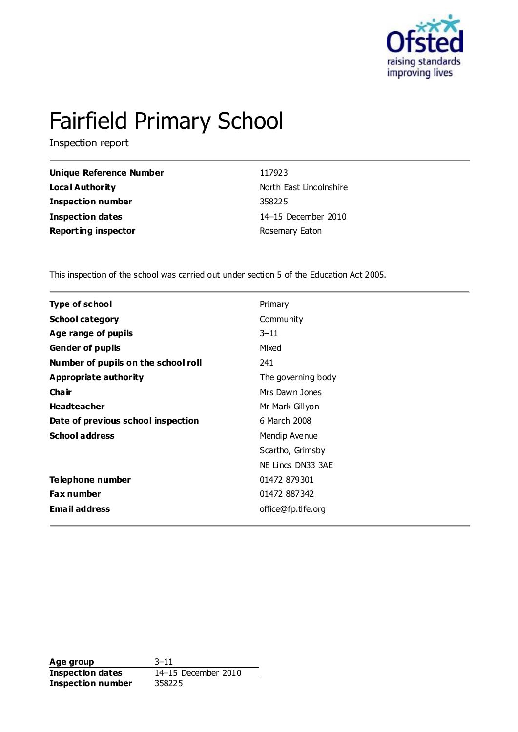

# Fairfield Primary School

Inspection report

| Unique Reference Number    | 117923                  |
|----------------------------|-------------------------|
| Local Authority            | North East Lincolnshire |
| <b>Inspection number</b>   | 358225                  |
| <b>Inspection dates</b>    | 14–15 December 2010     |
| <b>Reporting inspector</b> | Rosemary Eaton          |

This inspection of the school was carried out under section 5 of the Education Act 2005.

| <b>Type of school</b>               | Primary            |
|-------------------------------------|--------------------|
| <b>School category</b>              | Community          |
| Age range of pupils                 | $3 - 11$           |
| <b>Gender of pupils</b>             | Mixed              |
| Number of pupils on the school roll | 241                |
| Appropriate authority               | The governing body |
| Cha ir                              | Mrs Dawn Jones     |
| <b>Headteacher</b>                  | Mr Mark Gillyon    |
| Date of previous school inspection  | 6 March 2008       |
| <b>School address</b>               | Mendip Avenue      |
|                                     | Scartho, Grimsby   |
|                                     | NE Lincs DN33 3AE  |
| Telephone number                    | 01472 879301       |
| <b>Fax number</b>                   | 01472 887342       |
| <b>Email address</b>                | office@fp.tlfe.org |

**Age group** 3–11 **Inspection dates** 14–15 December 2010 **Inspection number** 358225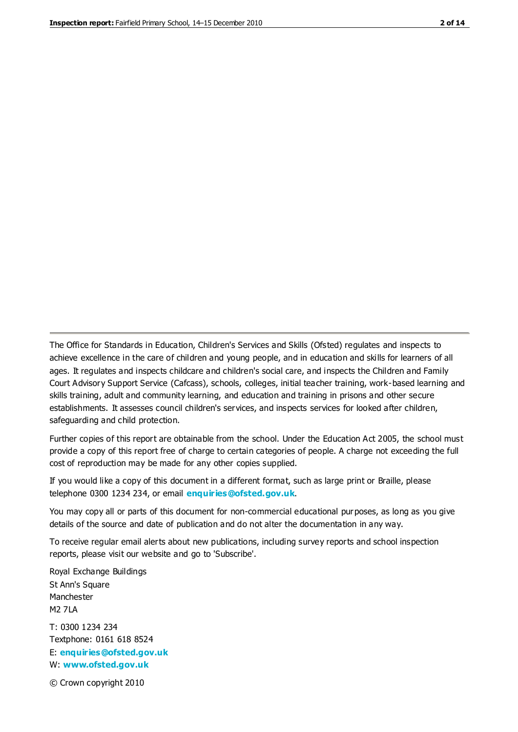The Office for Standards in Education, Children's Services and Skills (Ofsted) regulates and inspects to achieve excellence in the care of children and young people, and in education and skills for learners of all ages. It regulates and inspects childcare and children's social care, and inspects the Children and Family Court Advisory Support Service (Cafcass), schools, colleges, initial teacher training, work-based learning and skills training, adult and community learning, and education and training in prisons and other secure establishments. It assesses council children's services, and inspects services for looked after children, safeguarding and child protection.

Further copies of this report are obtainable from the school. Under the Education Act 2005, the school must provide a copy of this report free of charge to certain categories of people. A charge not exceeding the full cost of reproduction may be made for any other copies supplied.

If you would like a copy of this document in a different format, such as large print or Braille, please telephone 0300 1234 234, or email **[enquiries@ofsted.gov.uk](mailto:enquiries@ofsted.gov.uk)**.

You may copy all or parts of this document for non-commercial educational purposes, as long as you give details of the source and date of publication and do not alter the documentation in any way.

To receive regular email alerts about new publications, including survey reports and school inspection reports, please visit our website and go to 'Subscribe'.

Royal Exchange Buildings St Ann's Square Manchester M2 7LA T: 0300 1234 234 Textphone: 0161 618 8524 E: **[enquiries@ofsted.gov.uk](mailto:enquiries@ofsted.gov.uk)**

W: **[www.ofsted.gov.uk](http://www.ofsted.gov.uk/)**

© Crown copyright 2010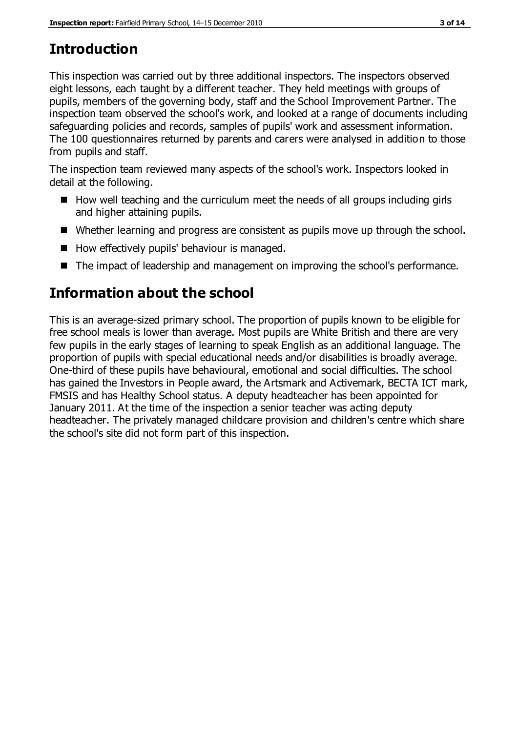## **Introduction**

This inspection was carried out by three additional inspectors. The inspectors observed eight lessons, each taught by a different teacher. They held meetings with groups of pupils, members of the governing body, staff and the School Improvement Partner. The inspection team observed the school's work, and looked at a range of documents including safeguarding policies and records, samples of pupils' work and assessment information. The 100 questionnaires returned by parents and carers were analysed in addition to those from pupils and staff.

The inspection team reviewed many aspects of the school's work. Inspectors looked in detail at the following.

- $\blacksquare$  How well teaching and the curriculum meet the needs of all groups including girls and higher attaining pupils.
- Whether learning and progress are consistent as pupils move up through the school.
- How effectively pupils' behaviour is managed.
- The impact of leadership and management on improving the school's performance.

## **Information about the school**

This is an average-sized primary school. The proportion of pupils known to be eligible for free school meals is lower than average. Most pupils are White British and there are very few pupils in the early stages of learning to speak English as an additional language. The proportion of pupils with special educational needs and/or disabilities is broadly average. One-third of these pupils have behavioural, emotional and social difficulties. The school has gained the Investors in People award, the Artsmark and Activemark, BECTA ICT mark, FMSIS and has Healthy School status. A deputy headteacher has been appointed for January 2011. At the time of the inspection a senior teacher was acting deputy headteacher. The privately managed childcare provision and children's centre which share the school's site did not form part of this inspection.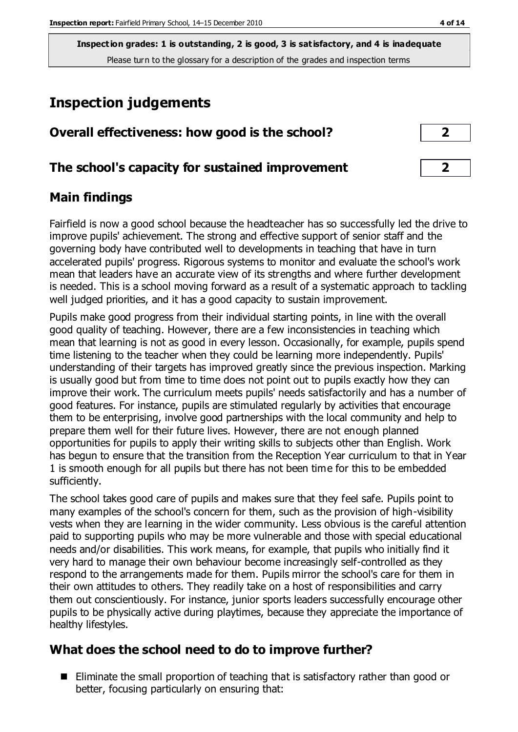## **Inspection judgements**

| Overall effectiveness: how good is the school?  |  |
|-------------------------------------------------|--|
| The school's capacity for sustained improvement |  |

#### **Main findings**

Fairfield is now a good school because the headteacher has so successfully led the drive to improve pupils' achievement. The strong and effective support of senior staff and the governing body have contributed well to developments in teaching that have in turn accelerated pupils' progress. Rigorous systems to monitor and evaluate the school's work mean that leaders have an accurate view of its strengths and where further development is needed. This is a school moving forward as a result of a systematic approach to tackling well judged priorities, and it has a good capacity to sustain improvement.

Pupils make good progress from their individual starting points, in line with the overall good quality of teaching. However, there are a few inconsistencies in teaching which mean that learning is not as good in every lesson. Occasionally, for example, pupils spend time listening to the teacher when they could be learning more independently. Pupils' understanding of their targets has improved greatly since the previous inspection. Marking is usually good but from time to time does not point out to pupils exactly how they can improve their work. The curriculum meets pupils' needs satisfactorily and has a number of good features. For instance, pupils are stimulated regularly by activities that encourage them to be enterprising, involve good partnerships with the local community and help to prepare them well for their future lives. However, there are not enough planned opportunities for pupils to apply their writing skills to subjects other than English. Work has begun to ensure that the transition from the Reception Year curriculum to that in Year 1 is smooth enough for all pupils but there has not been time for this to be embedded sufficiently.

The school takes good care of pupils and makes sure that they feel safe. Pupils point to many examples of the school's concern for them, such as the provision of high-visibility vests when they are learning in the wider community. Less obvious is the careful attention paid to supporting pupils who may be more vulnerable and those with special educational needs and/or disabilities. This work means, for example, that pupils who initially find it very hard to manage their own behaviour become increasingly self-controlled as they respond to the arrangements made for them. Pupils mirror the school's care for them in their own attitudes to others. They readily take on a host of responsibilities and carry them out conscientiously. For instance, junior sports leaders successfully encourage other pupils to be physically active during playtimes, because they appreciate the importance of healthy lifestyles.

#### **What does the school need to do to improve further?**

■ Eliminate the small proportion of teaching that is satisfactory rather than good or better, focusing particularly on ensuring that: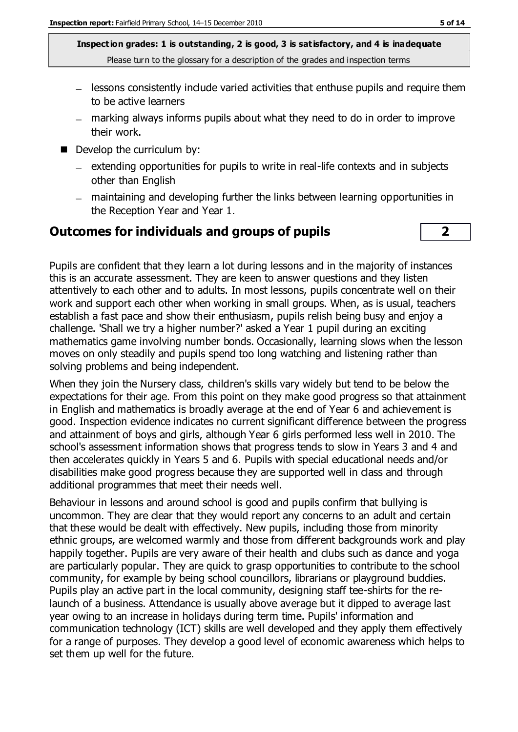- lessons consistently include varied activities that enthuse pupils and require them to be active learners
- marking always informs pupils about what they need to do in order to improve their work.
- Develop the curriculum by:
	- $-$  extending opportunities for pupils to write in real-life contexts and in subjects other than English
	- maintaining and developing further the links between learning opportunities in the Reception Year and Year 1.

#### **Outcomes for individuals and groups of pupils 2**

Pupils are confident that they learn a lot during lessons and in the majority of instances this is an accurate assessment. They are keen to answer questions and they listen attentively to each other and to adults. In most lessons, pupils concentrate well on their work and support each other when working in small groups. When, as is usual, teachers establish a fast pace and show their enthusiasm, pupils relish being busy and enjoy a challenge. 'Shall we try a higher number?' asked a Year 1 pupil during an exciting mathematics game involving number bonds. Occasionally, learning slows when the lesson moves on only steadily and pupils spend too long watching and listening rather than solving problems and being independent.

When they join the Nursery class, children's skills vary widely but tend to be below the expectations for their age. From this point on they make good progress so that attainment in English and mathematics is broadly average at the end of Year 6 and achievement is good. Inspection evidence indicates no current significant difference between the progress and attainment of boys and girls, although Year 6 girls performed less well in 2010. The school's assessment information shows that progress tends to slow in Years 3 and 4 and then accelerates quickly in Years 5 and 6. Pupils with special educational needs and/or disabilities make good progress because they are supported well in class and through additional programmes that meet their needs well.

Behaviour in lessons and around school is good and pupils confirm that bullying is uncommon. They are clear that they would report any concerns to an adult and certain that these would be dealt with effectively. New pupils, including those from minority ethnic groups, are welcomed warmly and those from different backgrounds work and play happily together. Pupils are very aware of their health and clubs such as dance and yoga are particularly popular. They are quick to grasp opportunities to contribute to the school community, for example by being school councillors, librarians or playground buddies. Pupils play an active part in the local community, designing staff tee-shirts for the relaunch of a business. Attendance is usually above average but it dipped to average last year owing to an increase in holidays during term time. Pupils' information and communication technology (ICT) skills are well developed and they apply them effectively for a range of purposes. They develop a good level of economic awareness which helps to set them up well for the future.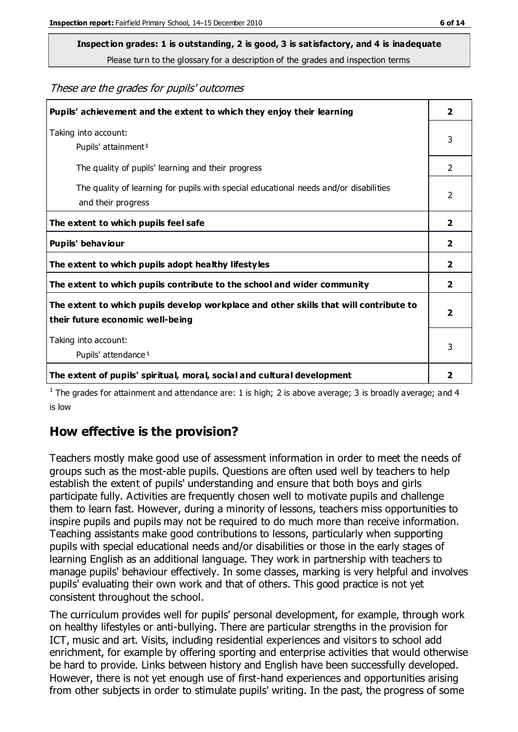## **Inspection grades: 1 is outstanding, 2 is good, 3 is satisfactory, and 4 is inadequate**

Please turn to the glossary for a description of the grades and inspection terms

#### These are the grades for pupils' outcomes

| Pupils' achievement and the extent to which they enjoy their learning                                                     | $\overline{2}$          |
|---------------------------------------------------------------------------------------------------------------------------|-------------------------|
| Taking into account:<br>Pupils' attainment <sup>1</sup>                                                                   | 3                       |
| The quality of pupils' learning and their progress                                                                        | 2                       |
| The quality of learning for pupils with special educational needs and/or disabilities<br>and their progress               | 2                       |
| The extent to which pupils feel safe                                                                                      | $\overline{2}$          |
| Pupils' behaviour                                                                                                         | 2                       |
| The extent to which pupils adopt healthy lifestyles                                                                       | 2                       |
| The extent to which pupils contribute to the school and wider community                                                   | $\mathbf{2}$            |
| The extent to which pupils develop workplace and other skills that will contribute to<br>their future economic well-being | $\overline{\mathbf{2}}$ |
| Taking into account:<br>Pupils' attendance <sup>1</sup>                                                                   | 3                       |
| The extent of pupils' spiritual, moral, social and cultural development                                                   | $\overline{\mathbf{2}}$ |

<sup>1</sup> The grades for attainment and attendance are: 1 is high; 2 is above average; 3 is broadly average; and 4 is low

#### **How effective is the provision?**

Teachers mostly make good use of assessment information in order to meet the needs of groups such as the most-able pupils. Questions are often used well by teachers to help establish the extent of pupils' understanding and ensure that both boys and girls participate fully. Activities are frequently chosen well to motivate pupils and challenge them to learn fast. However, during a minority of lessons, teachers miss opportunities to inspire pupils and pupils may not be required to do much more than receive information. Teaching assistants make good contributions to lessons, particularly when supporting pupils with special educational needs and/or disabilities or those in the early stages of learning English as an additional language. They work in partnership with teachers to manage pupils' behaviour effectively. In some classes, marking is very helpful and involves pupils' evaluating their own work and that of others. This good practice is not yet consistent throughout the school.

The curriculum provides well for pupils' personal development, for example, through work on healthy lifestyles or anti-bullying. There are particular strengths in the provision for ICT, music and art. Visits, including residential experiences and visitors to school add enrichment, for example by offering sporting and enterprise activities that would otherwise be hard to provide. Links between history and English have been successfully developed. However, there is not yet enough use of first-hand experiences and opportunities arising from other subjects in order to stimulate pupils' writing. In the past, the progress of some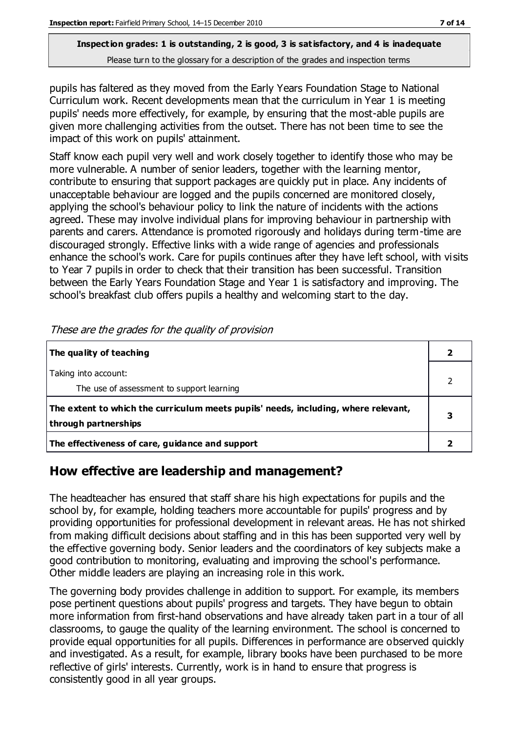pupils has faltered as they moved from the Early Years Foundation Stage to National Curriculum work. Recent developments mean that the curriculum in Year 1 is meeting pupils' needs more effectively, for example, by ensuring that the most-able pupils are given more challenging activities from the outset. There has not been time to see the impact of this work on pupils' attainment.

Staff know each pupil very well and work closely together to identify those who may be more vulnerable. A number of senior leaders, together with the learning mentor, contribute to ensuring that support packages are quickly put in place. Any incidents of unacceptable behaviour are logged and the pupils concerned are monitored closely, applying the school's behaviour policy to link the nature of incidents with the actions agreed. These may involve individual plans for improving behaviour in partnership with parents and carers. Attendance is promoted rigorously and holidays during term-time are discouraged strongly. Effective links with a wide range of agencies and professionals enhance the school's work. Care for pupils continues after they have left school, with visits to Year 7 pupils in order to check that their transition has been successful. Transition between the Early Years Foundation Stage and Year 1 is satisfactory and improving. The school's breakfast club offers pupils a healthy and welcoming start to the day.

| The quality of teaching                                                                                    |  |
|------------------------------------------------------------------------------------------------------------|--|
| Taking into account:<br>The use of assessment to support learning                                          |  |
| The extent to which the curriculum meets pupils' needs, including, where relevant,<br>through partnerships |  |
| The effectiveness of care, guidance and support                                                            |  |

These are the grades for the quality of provision

#### **How effective are leadership and management?**

The headteacher has ensured that staff share his high expectations for pupils and the school by, for example, holding teachers more accountable for pupils' progress and by providing opportunities for professional development in relevant areas. He has not shirked from making difficult decisions about staffing and in this has been supported very well by the effective governing body. Senior leaders and the coordinators of key subjects make a good contribution to monitoring, evaluating and improving the school's performance. Other middle leaders are playing an increasing role in this work.

The governing body provides challenge in addition to support. For example, its members pose pertinent questions about pupils' progress and targets. They have begun to obtain more information from first-hand observations and have already taken part in a tour of all classrooms, to gauge the quality of the learning environment. The school is concerned to provide equal opportunities for all pupils. Differences in performance are observed quickly and investigated. As a result, for example, library books have been purchased to be more reflective of girls' interests. Currently, work is in hand to ensure that progress is consistently good in all year groups.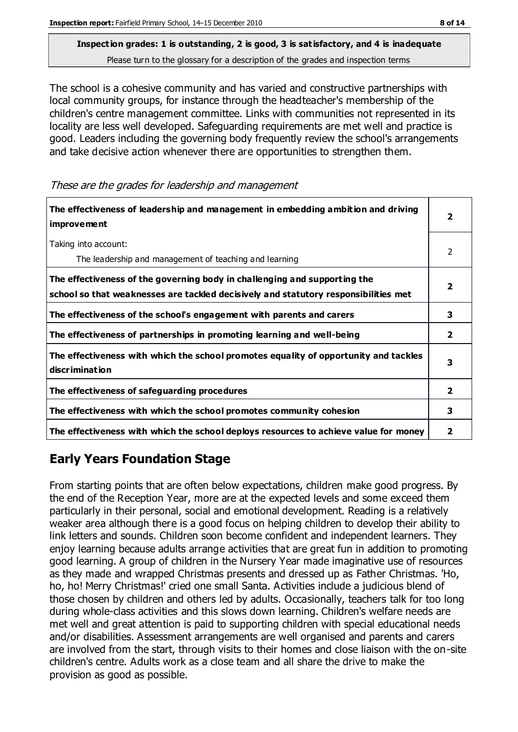The school is a cohesive community and has varied and constructive partnerships with local community groups, for instance through the headteacher's membership of the children's centre management committee. Links with communities not represented in its locality are less well developed. Safeguarding requirements are met well and practice is good. Leaders including the governing body frequently review the school's arrangements and take decisive action whenever there are opportunities to strengthen them.

These are the grades for leadership and management

| The effectiveness of leadership and management in embedding ambition and driving<br>improvement                                                                  | 2              |
|------------------------------------------------------------------------------------------------------------------------------------------------------------------|----------------|
| Taking into account:<br>The leadership and management of teaching and learning                                                                                   | 2              |
| The effectiveness of the governing body in challenging and supporting the<br>school so that weaknesses are tackled decisively and statutory responsibilities met | 2              |
| The effectiveness of the school's engagement with parents and carers                                                                                             | 3              |
| The effectiveness of partnerships in promoting learning and well-being                                                                                           | $\overline{2}$ |
| The effectiveness with which the school promotes equality of opportunity and tackles<br>discrimination                                                           | 3              |
| The effectiveness of safeguarding procedures                                                                                                                     | $\overline{2}$ |
| The effectiveness with which the school promotes community cohesion                                                                                              | 3              |
| The effectiveness with which the school deploys resources to achieve value for money                                                                             | 2              |

### **Early Years Foundation Stage**

From starting points that are often below expectations, children make good progress. By the end of the Reception Year, more are at the expected levels and some exceed them particularly in their personal, social and emotional development. Reading is a relatively weaker area although there is a good focus on helping children to develop their ability to link letters and sounds. Children soon become confident and independent learners. They enjoy learning because adults arrange activities that are great fun in addition to promoting good learning. A group of children in the Nursery Year made imaginative use of resources as they made and wrapped Christmas presents and dressed up as Father Christmas. 'Ho, ho, ho! Merry Christmas!' cried one small Santa. Activities include a judicious blend of those chosen by children and others led by adults. Occasionally, teachers talk for too long during whole-class activities and this slows down learning. Children's welfare needs are met well and great attention is paid to supporting children with special educational needs and/or disabilities. Assessment arrangements are well organised and parents and carers are involved from the start, through visits to their homes and close liaison with the on-site children's centre. Adults work as a close team and all share the drive to make the provision as good as possible.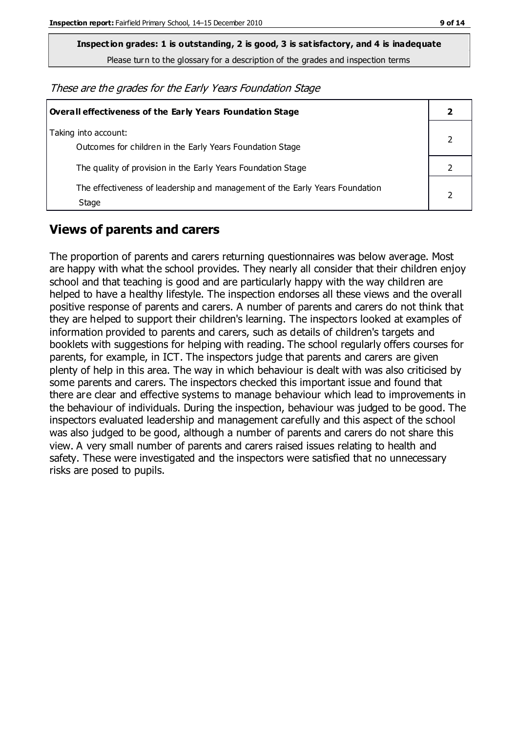**Inspection grades: 1 is outstanding, 2 is good, 3 is satisfactory, and 4 is inadequate**

Please turn to the glossary for a description of the grades and inspection terms

These are the grades for the Early Years Foundation Stage

| <b>Overall effectiveness of the Early Years Foundation Stage</b>                      |  |
|---------------------------------------------------------------------------------------|--|
| Taking into account:<br>Outcomes for children in the Early Years Foundation Stage     |  |
| The quality of provision in the Early Years Foundation Stage                          |  |
| The effectiveness of leadership and management of the Early Years Foundation<br>Stage |  |

#### **Views of parents and carers**

The proportion of parents and carers returning questionnaires was below average. Most are happy with what the school provides. They nearly all consider that their children enjoy school and that teaching is good and are particularly happy with the way children are helped to have a healthy lifestyle. The inspection endorses all these views and the overall positive response of parents and carers. A number of parents and carers do not think that they are helped to support their children's learning. The inspectors looked at examples of information provided to parents and carers, such as details of children's targets and booklets with suggestions for helping with reading. The school regularly offers courses for parents, for example, in ICT. The inspectors judge that parents and carers are given plenty of help in this area. The way in which behaviour is dealt with was also criticised by some parents and carers. The inspectors checked this important issue and found that there are clear and effective systems to manage behaviour which lead to improvements in the behaviour of individuals. During the inspection, behaviour was judged to be good. The inspectors evaluated leadership and management carefully and this aspect of the school was also judged to be good, although a number of parents and carers do not share this view. A very small number of parents and carers raised issues relating to health and safety. These were investigated and the inspectors were satisfied that no unnecessary risks are posed to pupils.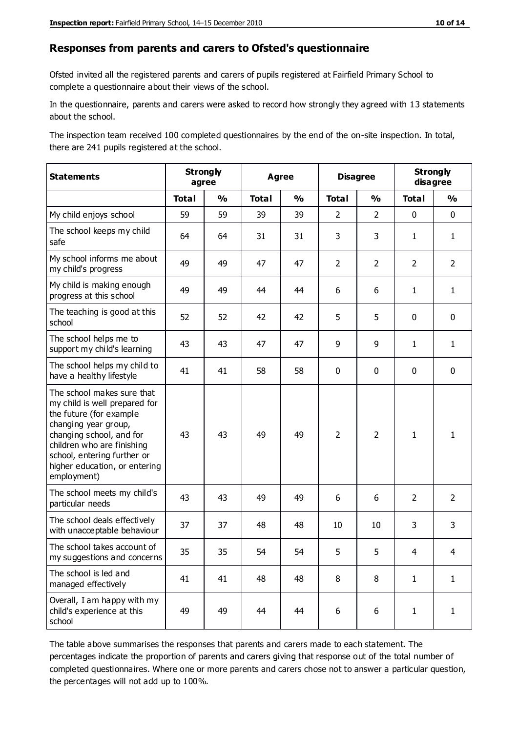#### **Responses from parents and carers to Ofsted's questionnaire**

Ofsted invited all the registered parents and carers of pupils registered at Fairfield Primary School to complete a questionnaire about their views of the school.

In the questionnaire, parents and carers were asked to record how strongly they agreed with 13 statements about the school.

The inspection team received 100 completed questionnaires by the end of the on-site inspection. In total, there are 241 pupils registered at the school.

| <b>Statements</b>                                                                                                                                                                                                                                       | <b>Strongly</b><br>agree |               | <b>Agree</b> |               |                | <b>Disagree</b> |                | <b>Strongly</b><br>disagree |  |
|---------------------------------------------------------------------------------------------------------------------------------------------------------------------------------------------------------------------------------------------------------|--------------------------|---------------|--------------|---------------|----------------|-----------------|----------------|-----------------------------|--|
|                                                                                                                                                                                                                                                         | <b>Total</b>             | $\frac{1}{2}$ | <b>Total</b> | $\frac{1}{2}$ | <b>Total</b>   | $\frac{1}{2}$   | <b>Total</b>   | $\frac{1}{2}$               |  |
| My child enjoys school                                                                                                                                                                                                                                  | 59                       | 59            | 39           | 39            | $\overline{2}$ | $\overline{2}$  | $\mathbf 0$    | $\mathbf 0$                 |  |
| The school keeps my child<br>safe                                                                                                                                                                                                                       | 64                       | 64            | 31           | 31            | 3              | 3               | $\mathbf{1}$   | $\mathbf{1}$                |  |
| My school informs me about<br>my child's progress                                                                                                                                                                                                       | 49                       | 49            | 47           | 47            | $\overline{2}$ | $\overline{2}$  | $\overline{2}$ | $\overline{2}$              |  |
| My child is making enough<br>progress at this school                                                                                                                                                                                                    | 49                       | 49            | 44           | 44            | 6              | 6               | $\mathbf{1}$   | $\mathbf{1}$                |  |
| The teaching is good at this<br>school                                                                                                                                                                                                                  | 52                       | 52            | 42           | 42            | 5              | 5               | $\mathbf 0$    | $\mathbf 0$                 |  |
| The school helps me to<br>support my child's learning                                                                                                                                                                                                   | 43                       | 43            | 47           | 47            | 9              | 9               | $\mathbf{1}$   | $\mathbf{1}$                |  |
| The school helps my child to<br>have a healthy lifestyle                                                                                                                                                                                                | 41                       | 41            | 58           | 58            | 0              | $\mathbf 0$     | $\mathbf 0$    | $\mathbf 0$                 |  |
| The school makes sure that<br>my child is well prepared for<br>the future (for example<br>changing year group,<br>changing school, and for<br>children who are finishing<br>school, entering further or<br>higher education, or entering<br>employment) | 43                       | 43            | 49           | 49            | $\overline{2}$ | $\overline{2}$  | $\mathbf{1}$   | 1                           |  |
| The school meets my child's<br>particular needs                                                                                                                                                                                                         | 43                       | 43            | 49           | 49            | 6              | 6               | $\overline{2}$ | $\overline{2}$              |  |
| The school deals effectively<br>with unacceptable behaviour                                                                                                                                                                                             | 37                       | 37            | 48           | 48            | 10             | 10              | 3              | 3                           |  |
| The school takes account of<br>my suggestions and concerns                                                                                                                                                                                              | 35                       | 35            | 54           | 54            | 5              | 5               | $\overline{4}$ | 4                           |  |
| The school is led and<br>managed effectively                                                                                                                                                                                                            | 41                       | 41            | 48           | 48            | 8              | 8               | $\mathbf{1}$   | $\mathbf{1}$                |  |
| Overall, I am happy with my<br>child's experience at this<br>school                                                                                                                                                                                     | 49                       | 49            | 44           | 44            | 6              | 6               | $\mathbf{1}$   | $\mathbf{1}$                |  |

The table above summarises the responses that parents and carers made to each statement. The percentages indicate the proportion of parents and carers giving that response out of the total number of completed questionnaires. Where one or more parents and carers chose not to answer a particular question, the percentages will not add up to 100%.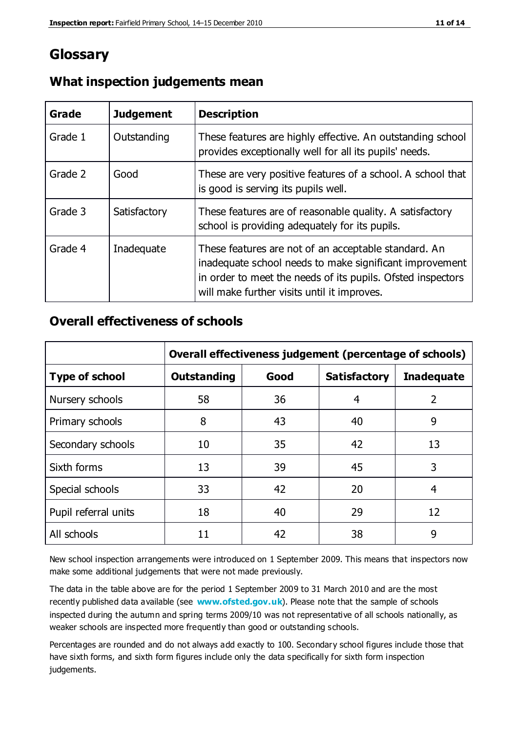## **Glossary**

| Grade   | <b>Judgement</b> | <b>Description</b>                                                                                                                                                                                                            |
|---------|------------------|-------------------------------------------------------------------------------------------------------------------------------------------------------------------------------------------------------------------------------|
| Grade 1 | Outstanding      | These features are highly effective. An outstanding school<br>provides exceptionally well for all its pupils' needs.                                                                                                          |
| Grade 2 | Good             | These are very positive features of a school. A school that<br>is good is serving its pupils well.                                                                                                                            |
| Grade 3 | Satisfactory     | These features are of reasonable quality. A satisfactory<br>school is providing adequately for its pupils.                                                                                                                    |
| Grade 4 | Inadequate       | These features are not of an acceptable standard. An<br>inadequate school needs to make significant improvement<br>in order to meet the needs of its pupils. Ofsted inspectors<br>will make further visits until it improves. |

#### **What inspection judgements mean**

#### **Overall effectiveness of schools**

|                       | Overall effectiveness judgement (percentage of schools) |      |                     |                   |
|-----------------------|---------------------------------------------------------|------|---------------------|-------------------|
| <b>Type of school</b> | <b>Outstanding</b>                                      | Good | <b>Satisfactory</b> | <b>Inadequate</b> |
| Nursery schools       | 58                                                      | 36   | 4                   | 2                 |
| Primary schools       | 8                                                       | 43   | 40                  | 9                 |
| Secondary schools     | 10                                                      | 35   | 42                  | 13                |
| Sixth forms           | 13                                                      | 39   | 45                  | 3                 |
| Special schools       | 33                                                      | 42   | 20                  | 4                 |
| Pupil referral units  | 18                                                      | 40   | 29                  | 12                |
| All schools           | 11                                                      | 42   | 38                  | 9                 |

New school inspection arrangements were introduced on 1 September 2009. This means that inspectors now make some additional judgements that were not made previously.

The data in the table above are for the period 1 September 2009 to 31 March 2010 and are the most recently published data available (see **[www.ofsted.gov.uk](http://www.ofsted.gov.uk/)**). Please note that the sample of schools inspected during the autumn and spring terms 2009/10 was not representative of all schools nationally, as weaker schools are inspected more frequently than good or outstanding schools.

Percentages are rounded and do not always add exactly to 100. Secondary school figures include those that have sixth forms, and sixth form figures include only the data specifically for sixth form inspection judgements.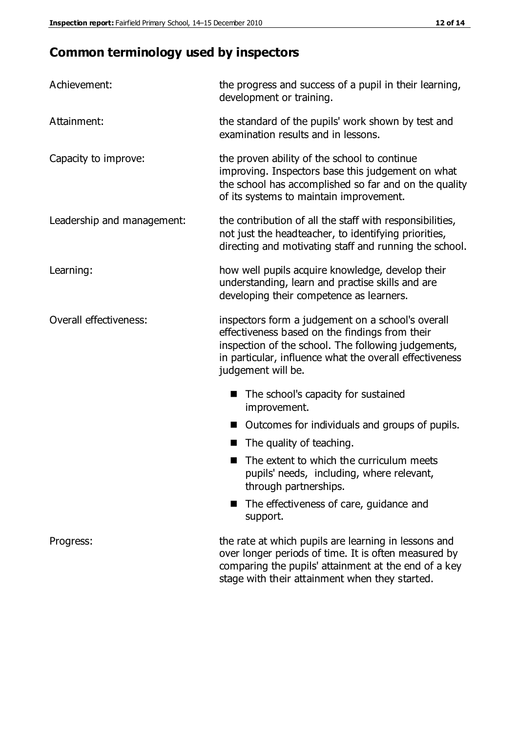## **Common terminology used by inspectors**

| Achievement:               | the progress and success of a pupil in their learning,<br>development or training.                                                                                                                                                          |
|----------------------------|---------------------------------------------------------------------------------------------------------------------------------------------------------------------------------------------------------------------------------------------|
| Attainment:                | the standard of the pupils' work shown by test and<br>examination results and in lessons.                                                                                                                                                   |
| Capacity to improve:       | the proven ability of the school to continue<br>improving. Inspectors base this judgement on what<br>the school has accomplished so far and on the quality<br>of its systems to maintain improvement.                                       |
| Leadership and management: | the contribution of all the staff with responsibilities,<br>not just the headteacher, to identifying priorities,<br>directing and motivating staff and running the school.                                                                  |
| Learning:                  | how well pupils acquire knowledge, develop their<br>understanding, learn and practise skills and are<br>developing their competence as learners.                                                                                            |
| Overall effectiveness:     | inspectors form a judgement on a school's overall<br>effectiveness based on the findings from their<br>inspection of the school. The following judgements,<br>in particular, influence what the overall effectiveness<br>judgement will be. |
|                            | The school's capacity for sustained<br>improvement.                                                                                                                                                                                         |
|                            | Outcomes for individuals and groups of pupils.                                                                                                                                                                                              |
|                            | The quality of teaching.                                                                                                                                                                                                                    |
|                            | The extent to which the curriculum meets<br>pupils' needs, including, where relevant,<br>through partnerships.                                                                                                                              |
|                            | The effectiveness of care, guidance and<br>support.                                                                                                                                                                                         |
| Progress:                  | the rate at which pupils are learning in lessons and<br>over longer periods of time. It is often measured by<br>comparing the pupils' attainment at the end of a key                                                                        |

stage with their attainment when they started.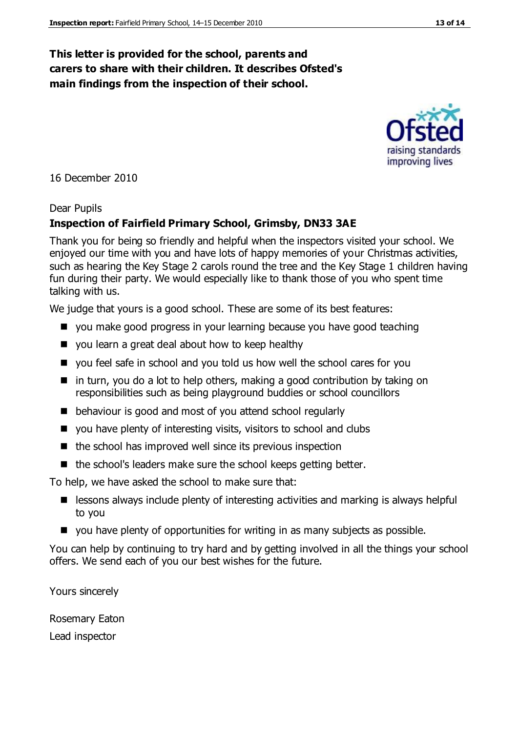#### **This letter is provided for the school, parents and carers to share with their children. It describes Ofsted's main findings from the inspection of their school.**

16 December 2010

#### Dear Pupils

#### **Inspection of Fairfield Primary School, Grimsby, DN33 3AE**

Thank you for being so friendly and helpful when the inspectors visited your school. We enjoyed our time with you and have lots of happy memories of your Christmas activities, such as hearing the Key Stage 2 carols round the tree and the Key Stage 1 children having fun during their party. We would especially like to thank those of you who spent time talking with us.

We judge that yours is a good school. These are some of its best features:

- **D** you make good progress in your learning because you have good teaching
- you learn a great deal about how to keep healthy
- vou feel safe in school and you told us how well the school cares for you
- $\blacksquare$  in turn, you do a lot to help others, making a good contribution by taking on responsibilities such as being playground buddies or school councillors
- behaviour is good and most of you attend school regularly
- you have plenty of interesting visits, visitors to school and clubs
- $\blacksquare$  the school has improved well since its previous inspection
- $\blacksquare$  the school's leaders make sure the school keeps getting better.

To help, we have asked the school to make sure that:

- $\blacksquare$  lessons always include plenty of interesting activities and marking is always helpful to you
- you have plenty of opportunities for writing in as many subjects as possible.

You can help by continuing to try hard and by getting involved in all the things your school offers. We send each of you our best wishes for the future.

Yours sincerely

Rosemary Eaton

Lead inspector